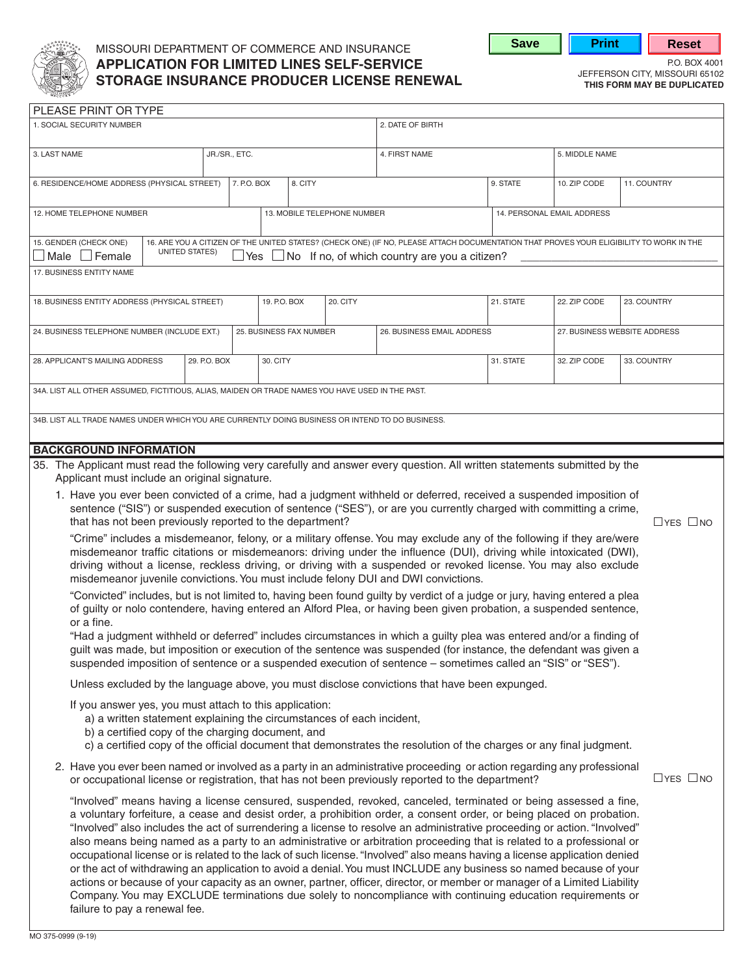

# MISSOURI DEPARTMENT OF COMMERCE AND INSURANCE **APPLICATION FOR LIMITED LINES SELF-SERVICE**<br> **CERCRACE INCLIDANCE REQUISER LIGENCE RENEWAL** STORICE ISSOURI 65102 **STORAGE INSURANCE PRODUCER LICENSE RENEWAL THIS FORM MAY BE DUPLICATED**



| PLEASE PRINT OR TYPE                                                                                                                                                                                                                                                                                                                                                                                                                                                                                                                                                                                                                                                                                                                                                                                                                                                                                                                                                                                                                                                                                                                                                                                                                                                                                                                                                                                                                                                                                                                                                                                                                                                                                                                                                                                                                                                                                                                                                                                                                                                                                                                                                                                                                                                                                                                                                                                                              |                |  |                         |                             |                                                                                                                                                                                                               |           |                            |                              |
|-----------------------------------------------------------------------------------------------------------------------------------------------------------------------------------------------------------------------------------------------------------------------------------------------------------------------------------------------------------------------------------------------------------------------------------------------------------------------------------------------------------------------------------------------------------------------------------------------------------------------------------------------------------------------------------------------------------------------------------------------------------------------------------------------------------------------------------------------------------------------------------------------------------------------------------------------------------------------------------------------------------------------------------------------------------------------------------------------------------------------------------------------------------------------------------------------------------------------------------------------------------------------------------------------------------------------------------------------------------------------------------------------------------------------------------------------------------------------------------------------------------------------------------------------------------------------------------------------------------------------------------------------------------------------------------------------------------------------------------------------------------------------------------------------------------------------------------------------------------------------------------------------------------------------------------------------------------------------------------------------------------------------------------------------------------------------------------------------------------------------------------------------------------------------------------------------------------------------------------------------------------------------------------------------------------------------------------------------------------------------------------------------------------------------------------|----------------|--|-------------------------|-----------------------------|---------------------------------------------------------------------------------------------------------------------------------------------------------------------------------------------------------------|-----------|----------------------------|------------------------------|
| 1. SOCIAL SECURITY NUMBER                                                                                                                                                                                                                                                                                                                                                                                                                                                                                                                                                                                                                                                                                                                                                                                                                                                                                                                                                                                                                                                                                                                                                                                                                                                                                                                                                                                                                                                                                                                                                                                                                                                                                                                                                                                                                                                                                                                                                                                                                                                                                                                                                                                                                                                                                                                                                                                                         |                |  |                         |                             | 2. DATE OF BIRTH                                                                                                                                                                                              |           |                            |                              |
| 3. LAST NAME<br>JR./SR., ETC.                                                                                                                                                                                                                                                                                                                                                                                                                                                                                                                                                                                                                                                                                                                                                                                                                                                                                                                                                                                                                                                                                                                                                                                                                                                                                                                                                                                                                                                                                                                                                                                                                                                                                                                                                                                                                                                                                                                                                                                                                                                                                                                                                                                                                                                                                                                                                                                                     |                |  |                         |                             | 4. FIRST NAME                                                                                                                                                                                                 |           | 5. MIDDLE NAME             |                              |
| 6. RESIDENCE/HOME ADDRESS (PHYSICAL STREET)                                                                                                                                                                                                                                                                                                                                                                                                                                                                                                                                                                                                                                                                                                                                                                                                                                                                                                                                                                                                                                                                                                                                                                                                                                                                                                                                                                                                                                                                                                                                                                                                                                                                                                                                                                                                                                                                                                                                                                                                                                                                                                                                                                                                                                                                                                                                                                                       |                |  | 7. P.O. BOX             | 8. CITY                     |                                                                                                                                                                                                               | 9. STATE  | 10. ZIP CODE               | 11. COUNTRY                  |
| 12. HOME TELEPHONE NUMBER                                                                                                                                                                                                                                                                                                                                                                                                                                                                                                                                                                                                                                                                                                                                                                                                                                                                                                                                                                                                                                                                                                                                                                                                                                                                                                                                                                                                                                                                                                                                                                                                                                                                                                                                                                                                                                                                                                                                                                                                                                                                                                                                                                                                                                                                                                                                                                                                         |                |  |                         | 13. MOBILE TELEPHONE NUMBER |                                                                                                                                                                                                               |           | 14. PERSONAL EMAIL ADDRESS |                              |
| 15. GENDER (CHECK ONE)<br>Male $\Box$ Female                                                                                                                                                                                                                                                                                                                                                                                                                                                                                                                                                                                                                                                                                                                                                                                                                                                                                                                                                                                                                                                                                                                                                                                                                                                                                                                                                                                                                                                                                                                                                                                                                                                                                                                                                                                                                                                                                                                                                                                                                                                                                                                                                                                                                                                                                                                                                                                      | UNITED STATES) |  |                         |                             | 16. ARE YOU A CITIZEN OF THE UNITED STATES? (CHECK ONE) (IF NO, PLEASE ATTACH DOCUMENTATION THAT PROVES YOUR ELIGIBILITY TO WORK IN THE<br>$\exists$ Yes $\Box$ No If no, of which country are you a citizen? |           |                            |                              |
| 17. BUSINESS ENTITY NAME                                                                                                                                                                                                                                                                                                                                                                                                                                                                                                                                                                                                                                                                                                                                                                                                                                                                                                                                                                                                                                                                                                                                                                                                                                                                                                                                                                                                                                                                                                                                                                                                                                                                                                                                                                                                                                                                                                                                                                                                                                                                                                                                                                                                                                                                                                                                                                                                          |                |  |                         |                             |                                                                                                                                                                                                               |           |                            |                              |
| 18. BUSINESS ENTITY ADDRESS (PHYSICAL STREET)                                                                                                                                                                                                                                                                                                                                                                                                                                                                                                                                                                                                                                                                                                                                                                                                                                                                                                                                                                                                                                                                                                                                                                                                                                                                                                                                                                                                                                                                                                                                                                                                                                                                                                                                                                                                                                                                                                                                                                                                                                                                                                                                                                                                                                                                                                                                                                                     |                |  | 19. P.O. BOX            | 20. CITY                    |                                                                                                                                                                                                               | 21. STATE | 22. ZIP CODE               | 23. COUNTRY                  |
| 24. BUSINESS TELEPHONE NUMBER (INCLUDE EXT.)                                                                                                                                                                                                                                                                                                                                                                                                                                                                                                                                                                                                                                                                                                                                                                                                                                                                                                                                                                                                                                                                                                                                                                                                                                                                                                                                                                                                                                                                                                                                                                                                                                                                                                                                                                                                                                                                                                                                                                                                                                                                                                                                                                                                                                                                                                                                                                                      |                |  | 25. BUSINESS FAX NUMBER |                             | 26. BUSINESS EMAIL ADDRESS                                                                                                                                                                                    |           |                            | 27. BUSINESS WEBSITE ADDRESS |
| 28. APPLICANT'S MAILING ADDRESS                                                                                                                                                                                                                                                                                                                                                                                                                                                                                                                                                                                                                                                                                                                                                                                                                                                                                                                                                                                                                                                                                                                                                                                                                                                                                                                                                                                                                                                                                                                                                                                                                                                                                                                                                                                                                                                                                                                                                                                                                                                                                                                                                                                                                                                                                                                                                                                                   | 29. P.O. BOX   |  | 30. CITY                |                             |                                                                                                                                                                                                               | 31. STATE | 32. ZIP CODE               | 33. COUNTRY                  |
| 34A. LIST ALL OTHER ASSUMED, FICTITIOUS, ALIAS, MAIDEN OR TRADE NAMES YOU HAVE USED IN THE PAST.                                                                                                                                                                                                                                                                                                                                                                                                                                                                                                                                                                                                                                                                                                                                                                                                                                                                                                                                                                                                                                                                                                                                                                                                                                                                                                                                                                                                                                                                                                                                                                                                                                                                                                                                                                                                                                                                                                                                                                                                                                                                                                                                                                                                                                                                                                                                  |                |  |                         |                             |                                                                                                                                                                                                               |           |                            |                              |
| 34B. LIST ALL TRADE NAMES UNDER WHICH YOU ARE CURRENTLY DOING BUSINESS OR INTEND TO DO BUSINESS.                                                                                                                                                                                                                                                                                                                                                                                                                                                                                                                                                                                                                                                                                                                                                                                                                                                                                                                                                                                                                                                                                                                                                                                                                                                                                                                                                                                                                                                                                                                                                                                                                                                                                                                                                                                                                                                                                                                                                                                                                                                                                                                                                                                                                                                                                                                                  |                |  |                         |                             |                                                                                                                                                                                                               |           |                            |                              |
|                                                                                                                                                                                                                                                                                                                                                                                                                                                                                                                                                                                                                                                                                                                                                                                                                                                                                                                                                                                                                                                                                                                                                                                                                                                                                                                                                                                                                                                                                                                                                                                                                                                                                                                                                                                                                                                                                                                                                                                                                                                                                                                                                                                                                                                                                                                                                                                                                                   |                |  |                         |                             |                                                                                                                                                                                                               |           |                            |                              |
| <b>BACKGROUND INFORMATION</b><br>35. The Applicant must read the following very carefully and answer every question. All written statements submitted by the<br>Applicant must include an original signature.<br>1. Have you ever been convicted of a crime, had a judgment withheld or deferred, received a suspended imposition of<br>sentence ("SIS") or suspended execution of sentence ("SES"), or are you currently charged with committing a crime,<br>that has not been previously reported to the department?<br>$\Box$ YES $\Box$ NO<br>"Crime" includes a misdemeanor, felony, or a military offense. You may exclude any of the following if they are/were<br>misdemeanor traffic citations or misdemeanors: driving under the influence (DUI), driving while intoxicated (DWI),<br>driving without a license, reckless driving, or driving with a suspended or revoked license. You may also exclude<br>misdemeanor juvenile convictions. You must include felony DUI and DWI convictions.<br>"Convicted" includes, but is not limited to, having been found guilty by verdict of a judge or jury, having entered a plea<br>of guilty or nolo contendere, having entered an Alford Plea, or having been given probation, a suspended sentence,<br>or a fine.<br>"Had a judgment withheld or deferred" includes circumstances in which a guilty plea was entered and/or a finding of<br>guilt was made, but imposition or execution of the sentence was suspended (for instance, the defendant was given a<br>suspended imposition of sentence or a suspended execution of sentence - sometimes called an "SIS" or "SES").<br>Unless excluded by the language above, you must disclose convictions that have been expunged.<br>If you answer yes, you must attach to this application:<br>a) a written statement explaining the circumstances of each incident,<br>b) a certified copy of the charging document, and<br>c) a certified copy of the official document that demonstrates the resolution of the charges or any final judgment.<br>2. Have you ever been named or involved as a party in an administrative proceeding or action regarding any professional<br>$\Box$ YES $\Box$ NO<br>or occupational license or registration, that has not been previously reported to the department?<br>"Involved" means having a license censured, suspended, revoked, canceled, terminated or being assessed a fine, |                |  |                         |                             |                                                                                                                                                                                                               |           |                            |                              |
| a voluntary forfeiture, a cease and desist order, a prohibition order, a consent order, or being placed on probation.<br>"Involved" also includes the act of surrendering a license to resolve an administrative proceeding or action. "Involved"<br>also means being named as a party to an administrative or arbitration proceeding that is related to a professional or<br>occupational license or is related to the lack of such license. "Involved" also means having a license application denied<br>or the act of withdrawing an application to avoid a denial. You must INCLUDE any business so named because of your<br>actions or because of your capacity as an owner, partner, officer, director, or member or manager of a Limited Liability<br>Company. You may EXCLUDE terminations due solely to noncompliance with continuing education requirements or<br>failure to pay a renewal fee.                                                                                                                                                                                                                                                                                                                                                                                                                                                                                                                                                                                                                                                                                                                                                                                                                                                                                                                                                                                                                                                                                                                                                                                                                                                                                                                                                                                                                                                                                                                         |                |  |                         |                             |                                                                                                                                                                                                               |           |                            |                              |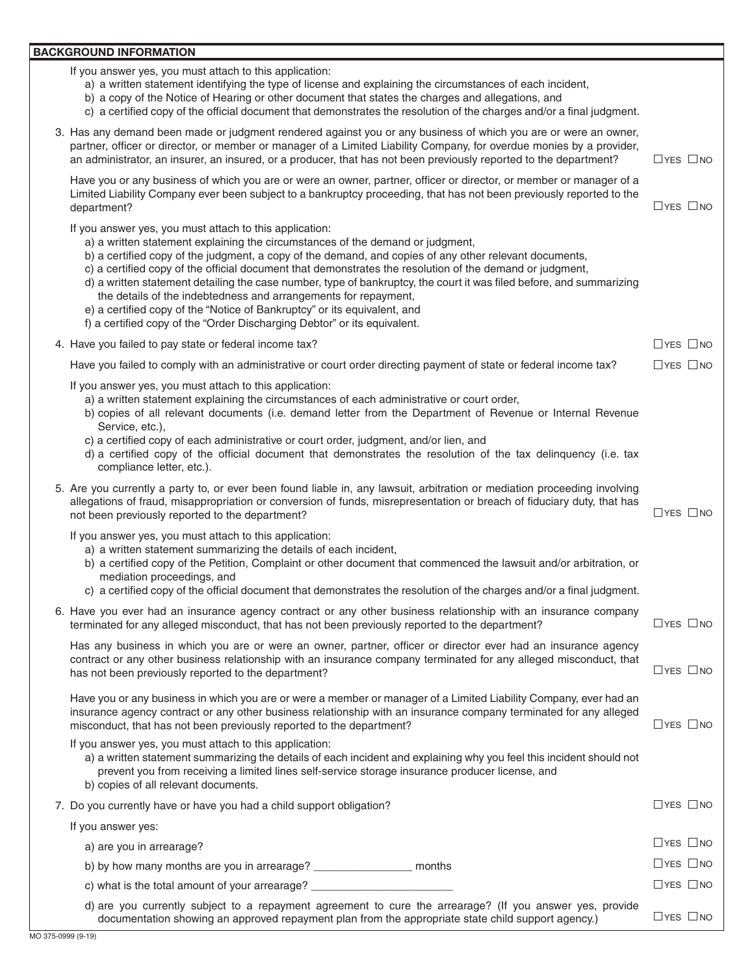### **BACKGROUND INFORMATION**

|  |  |  |  |  |  |  |  | If you answer yes, you must attach to this application: |  |
|--|--|--|--|--|--|--|--|---------------------------------------------------------|--|
|--|--|--|--|--|--|--|--|---------------------------------------------------------|--|

- a) a written statement identifying the type of license and explaining the circumstances of each incident,
- b) a copy of the Notice of Hearing or other document that states the charges and allegations, and
- c) a certified copy of the official document that demonstrates the resolution of the charges and/or a final judgment.

| 3. Has any demand been made or judgment rendered against you or any business of which you are or were an owner,<br>partner, officer or director, or member or manager of a Limited Liability Company, for overdue monies by a provider,<br>an administrator, an insurer, an insured, or a producer, that has not been previously reported to the department?                                                                                                                                                                                                                                                                                                                                                       | $\Box$ YES $\Box$ NO |
|--------------------------------------------------------------------------------------------------------------------------------------------------------------------------------------------------------------------------------------------------------------------------------------------------------------------------------------------------------------------------------------------------------------------------------------------------------------------------------------------------------------------------------------------------------------------------------------------------------------------------------------------------------------------------------------------------------------------|----------------------|
| Have you or any business of which you are or were an owner, partner, officer or director, or member or manager of a<br>Limited Liability Company ever been subject to a bankruptcy proceeding, that has not been previously reported to the<br>department?                                                                                                                                                                                                                                                                                                                                                                                                                                                         | $\Box$ YES $\Box$ NO |
| If you answer yes, you must attach to this application:<br>a) a written statement explaining the circumstances of the demand or judgment,<br>b) a certified copy of the judgment, a copy of the demand, and copies of any other relevant documents,<br>c) a certified copy of the official document that demonstrates the resolution of the demand or judgment,<br>d) a written statement detailing the case number, type of bankruptcy, the court it was filed before, and summarizing<br>the details of the indebtedness and arrangements for repayment,<br>e) a certified copy of the "Notice of Bankruptcy" or its equivalent, and<br>f) a certified copy of the "Order Discharging Debtor" or its equivalent. |                      |
| 4. Have you failed to pay state or federal income tax?                                                                                                                                                                                                                                                                                                                                                                                                                                                                                                                                                                                                                                                             | $\Box$ YES $\Box$ NO |
| Have you failed to comply with an administrative or court order directing payment of state or federal income tax?                                                                                                                                                                                                                                                                                                                                                                                                                                                                                                                                                                                                  | $\Box$ YES $\Box$ NO |
| If you answer yes, you must attach to this application:<br>a) a written statement explaining the circumstances of each administrative or court order,<br>b) copies of all relevant documents (i.e. demand letter from the Department of Revenue or Internal Revenue<br>Service, etc.),<br>c) a certified copy of each administrative or court order, judgment, and/or lien, and<br>d) a certified copy of the official document that demonstrates the resolution of the tax delinquency (i.e. tax<br>compliance letter, etc.).                                                                                                                                                                                     |                      |
| 5. Are you currently a party to, or ever been found liable in, any lawsuit, arbitration or mediation proceeding involving<br>allegations of fraud, misappropriation or conversion of funds, misrepresentation or breach of fiduciary duty, that has<br>not been previously reported to the department?                                                                                                                                                                                                                                                                                                                                                                                                             | $\Box$ YES $\Box$ NO |
| If you answer yes, you must attach to this application:<br>a) a written statement summarizing the details of each incident,<br>b) a certified copy of the Petition, Complaint or other document that commenced the lawsuit and/or arbitration, or<br>mediation proceedings, and<br>c) a certified copy of the official document that demonstrates the resolution of the charges and/or a final judgment.                                                                                                                                                                                                                                                                                                           |                      |
| 6. Have you ever had an insurance agency contract or any other business relationship with an insurance company<br>terminated for any alleged misconduct, that has not been previously reported to the department?                                                                                                                                                                                                                                                                                                                                                                                                                                                                                                  | $\Box$ YES $\Box$ NO |
| Has any business in which you are or were an owner, partner, officer or director ever had an insurance agency<br>contract or any other business relationship with an insurance company terminated for any alleged misconduct, that<br>has not been previously reported to the department?                                                                                                                                                                                                                                                                                                                                                                                                                          | $\Box$ YES $\Box$ NO |
| Have you or any business in which you are or were a member or manager of a Limited Liability Company, ever had an<br>insurance agency contract or any other business relationship with an insurance company terminated for any alleged<br>misconduct, that has not been previously reported to the department?                                                                                                                                                                                                                                                                                                                                                                                                     | $\Box$ YES $\Box$ NO |
| If you answer yes, you must attach to this application:<br>a) a written statement summarizing the details of each incident and explaining why you feel this incident should not<br>prevent you from receiving a limited lines self-service storage insurance producer license, and<br>b) copies of all relevant documents.                                                                                                                                                                                                                                                                                                                                                                                         |                      |
| 7. Do you currently have or have you had a child support obligation?                                                                                                                                                                                                                                                                                                                                                                                                                                                                                                                                                                                                                                               | $\Box$ YES $\Box$ NO |
| If you answer yes:                                                                                                                                                                                                                                                                                                                                                                                                                                                                                                                                                                                                                                                                                                 |                      |
| a) are you in arrearage?                                                                                                                                                                                                                                                                                                                                                                                                                                                                                                                                                                                                                                                                                           | $\Box$ YES $\Box$ NO |
| b) by how many months are you in arrearage? ___________________ months                                                                                                                                                                                                                                                                                                                                                                                                                                                                                                                                                                                                                                             | $\Box$ YES $\Box$ NO |
| c) what is the total amount of your arrearage?                                                                                                                                                                                                                                                                                                                                                                                                                                                                                                                                                                                                                                                                     | $\Box$ YES $\Box$ NO |

d) are you currently subject to a repayment agreement to cure the arrearage? (If you answer yes, provide  $\alpha$  documentation showing an approved repayment plan from the appropriate state child support agency.)  $\Box$  YES  $\Box$  NO